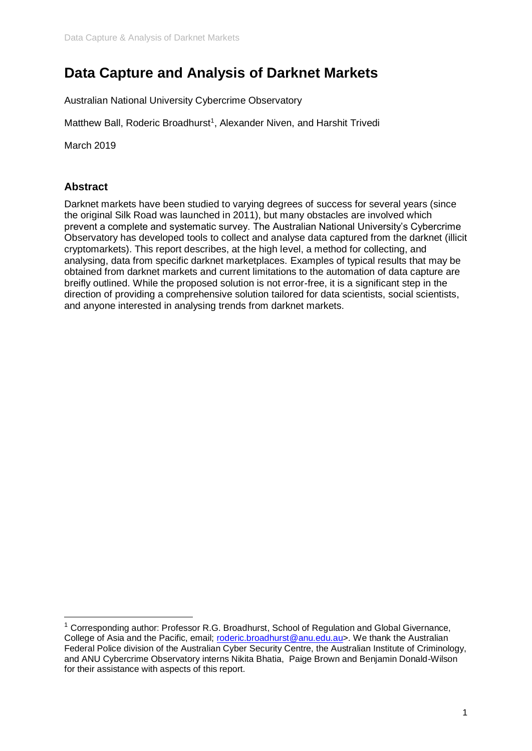# **Data Capture and Analysis of Darknet Markets**

Australian National University Cybercrime Observatory

Matthew Ball, Roderic Broadhurst<sup>1</sup>, Alexander Niven, and Harshit Trivedi

March 2019

# **Abstract**

Darknet markets have been studied to varying degrees of success for several years (since the original Silk Road was launched in 2011), but many obstacles are involved which prevent a complete and systematic survey. The Australian National University's Cybercrime Observatory has developed tools to collect and analyse data captured from the darknet (illicit cryptomarkets). This report describes, at the high level, a method for collecting, and analysing, data from specific darknet marketplaces. Examples of typical results that may be obtained from darknet markets and current limitations to the automation of data capture are breifly outlined. While the proposed solution is not error-free, it is a significant step in the direction of providing a comprehensive solution tailored for data scientists, social scientists, and anyone interested in analysing trends from darknet markets.

 $1$  Corresponding author: Professor R.G. Broadhurst, School of Regulation and Global Givernance, College of Asia and the Pacific, email; [roderic.broadhurst@anu.edu.au>](mailto:roderic.broadhurst@anu.edu.au). We thank the Australian Federal Police division of the Australian Cyber Security Centre, the Australian Institute of Criminology, and ANU Cybercrime Observatory interns Nikita Bhatia, Paige Brown and Benjamin Donald-Wilson for their assistance with aspects of this report.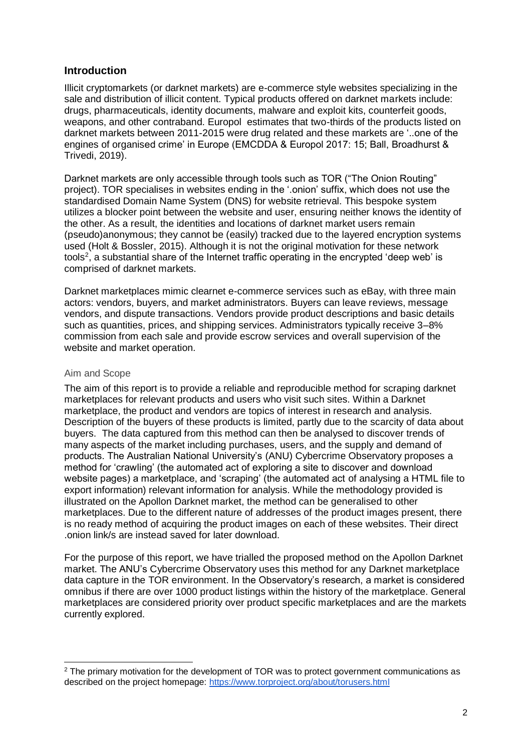# **Introduction**

Illicit cryptomarkets (or darknet markets) are e-commerce style websites specializing in the sale and distribution of illicit content. Typical products offered on darknet markets include: drugs, pharmaceuticals, identity documents, malware and exploit kits, counterfeit goods, weapons, and other contraband. Europol estimates that two-thirds of the products listed on darknet markets between 2011-2015 were drug related and these markets are '..one of the engines of organised crime' in Europe (EMCDDA & Europol 2017: 15; Ball, Broadhurst & Trivedi, 2019).

Darknet markets are only accessible through tools such as TOR ("The Onion Routing" project). TOR specialises in websites ending in the '.onion' suffix, which does not use the standardised Domain Name System (DNS) for website retrieval. This bespoke system utilizes a blocker point between the website and user, ensuring neither knows the identity of the other. As a result, the identities and locations of darknet market users remain (pseudo)anonymous; they cannot be (easily) tracked due to the layered encryption systems used (Holt & Bossler, 2015). Although it is not the original motivation for these network tools<sup>2</sup>, a substantial share of the Internet traffic operating in the encrypted 'deep web' is comprised of darknet markets.

Darknet marketplaces mimic clearnet e-commerce services such as eBay, with three main actors: vendors, buyers, and market administrators. Buyers can leave reviews, message vendors, and dispute transactions. Vendors provide product descriptions and basic details such as quantities, prices, and shipping services. Administrators typically receive 3–8% commission from each sale and provide escrow services and overall supervision of the website and market operation.

# Aim and Scope

The aim of this report is to provide a reliable and reproducible method for scraping darknet marketplaces for relevant products and users who visit such sites. Within a Darknet marketplace, the product and vendors are topics of interest in research and analysis. Description of the buyers of these products is limited, partly due to the scarcity of data about buyers. The data captured from this method can then be analysed to discover trends of many aspects of the market including purchases, users, and the supply and demand of products. The Australian National University's (ANU) Cybercrime Observatory proposes a method for 'crawling' (the automated act of exploring a site to discover and download website pages) a marketplace, and 'scraping' (the automated act of analysing a HTML file to export information) relevant information for analysis. While the methodology provided is illustrated on the Apollon Darknet market, the method can be generalised to other marketplaces. Due to the different nature of addresses of the product images present, there is no ready method of acquiring the product images on each of these websites. Their direct .onion link/s are instead saved for later download.

For the purpose of this report, we have trialled the proposed method on the Apollon Darknet market. The ANU's Cybercrime Observatory uses this method for any Darknet marketplace data capture in the TOR environment. In the Observatory's research, a market is considered omnibus if there are over 1000 product listings within the history of the marketplace. General marketplaces are considered priority over product specific marketplaces and are the markets currently explored.

 $2$  The primary motivation for the development of TOR was to protect government communications as described on the project homepage:<https://www.torproject.org/about/torusers.html>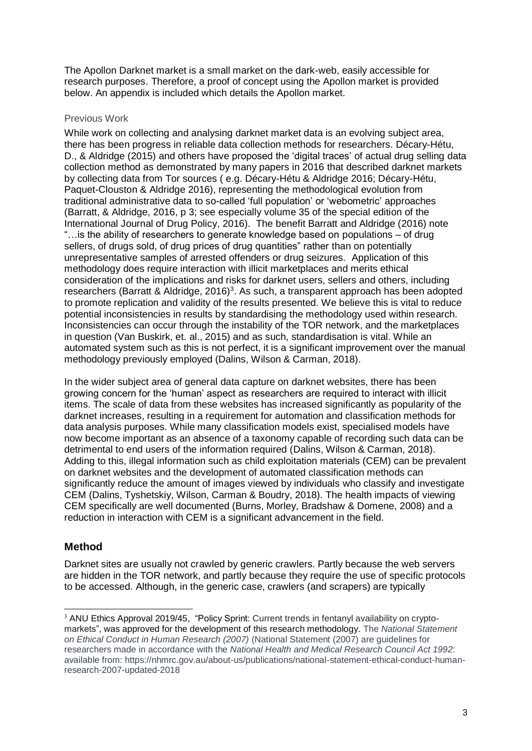The Apollon Darknet market is a small market on the dark-web, easily accessible for research purposes. Therefore, a proof of concept using the Apollon market is provided below. An appendix is included which details the Apollon market.

# Previous Work

While work on collecting and analysing darknet market data is an evolving subject area, there has been progress in reliable data collection methods for researchers. Décary-Hétu, D., & Aldridge (2015) and others have proposed the 'digital traces' of actual drug selling data collection method as demonstrated by many papers in 2016 that described darknet markets by collecting data from Tor sources ( e.g. Décary-Hétu & Aldridge 2016; Décary-Hétu, Paquet-Clouston & Aldridge 2016), representing the methodological evolution from traditional administrative data to so-called 'full population' or 'webometric' approaches (Barratt, & Aldridge, 2016, p 3; see especially volume 35 of the special edition of the International Journal of Drug Policy, 2016). The benefit Barratt and Aldridge (2016) note "…is the ability of researchers to generate knowledge based on populations – of drug sellers, of drugs sold, of drug prices of drug quantities" rather than on potentially unrepresentative samples of arrested offenders or drug seizures. Application of this methodology does require interaction with illicit marketplaces and merits ethical consideration of the implications and risks for darknet users, sellers and others, including researchers (Barratt & Aldridge, 2016)<sup>3</sup>. As such, a transparent approach has been adopted to promote replication and validity of the results presented. We believe this is vital to reduce potential inconsistencies in results by standardising the methodology used within research. Inconsistencies can occur through the instability of the TOR network, and the marketplaces in question (Van Buskirk, et. al., 2015) and as such, standardisation is vital. While an automated system such as this is not perfect, it is a significant improvement over the manual methodology previously employed (Dalins, Wilson & Carman, 2018).

In the wider subject area of general data capture on darknet websites, there has been growing concern for the 'human' aspect as researchers are required to interact with illicit items. The scale of data from these websites has increased significantly as popularity of the darknet increases, resulting in a requirement for automation and classification methods for data analysis purposes. While many classification models exist, specialised models have now become important as an absence of a taxonomy capable of recording such data can be detrimental to end users of the information required (Dalins, Wilson & Carman, 2018). Adding to this, illegal information such as child exploitation materials (CEM) can be prevalent on darknet websites and the development of automated classification methods can significantly reduce the amount of images viewed by individuals who classify and investigate CEM (Dalins, Tyshetskiy, Wilson, Carman & Boudry, 2018). The health impacts of viewing CEM specifically are well documented (Burns, Morley, Bradshaw & Domene, 2008) and a reduction in interaction with CEM is a significant advancement in the field.

# **Method**

Darknet sites are usually not crawled by generic crawlers. Partly because the web servers are hidden in the TOR network, and partly because they require the use of specific protocols to be accessed. Although, in the generic case, crawlers (and scrapers) are typically

<sup>&</sup>lt;sup>3</sup> ANU Ethics Approval 2019/45, "Policy Sprint: Current trends in fentanyl availability on cryptomarkets", was approved for the development of this research methodology. The *National Statement on Ethical Conduct in Human Research (2007)* (National Statement (2007) are guidelines for researchers made in accordance with the *National Health and Medical Research Council Act 1992*: available from: https://nhmrc.gov.au/about-us/publications/national-statement-ethical-conduct-humanresearch-2007-updated-2018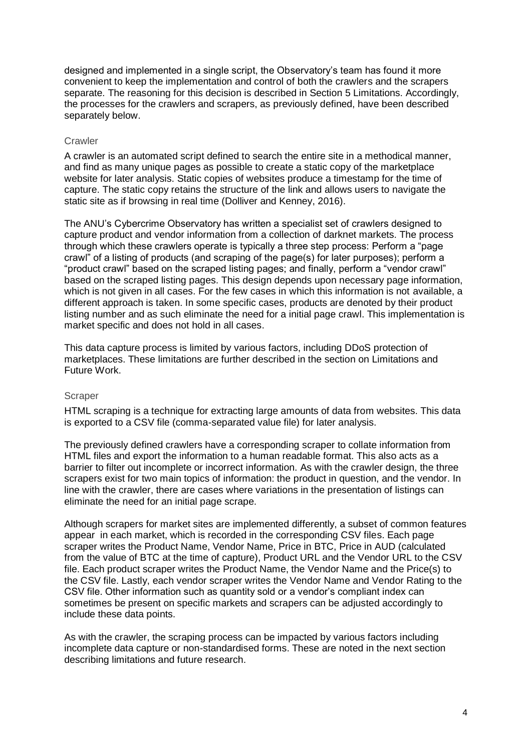designed and implemented in a single script, the Observatory's team has found it more convenient to keep the implementation and control of both the crawlers and the scrapers separate. The reasoning for this decision is described in Section 5 Limitations. Accordingly, the processes for the crawlers and scrapers, as previously defined, have been described separately below.

## **Crawler**

A crawler is an automated script defined to search the entire site in a methodical manner, and find as many unique pages as possible to create a static copy of the marketplace website for later analysis. Static copies of websites produce a timestamp for the time of capture. The static copy retains the structure of the link and allows users to navigate the static site as if browsing in real time (Dolliver and Kenney, 2016).

The ANU's Cybercrime Observatory has written a specialist set of crawlers designed to capture product and vendor information from a collection of darknet markets. The process through which these crawlers operate is typically a three step process: Perform a "page crawl" of a listing of products (and scraping of the page(s) for later purposes); perform a "product crawl" based on the scraped listing pages; and finally, perform a "vendor crawl" based on the scraped listing pages. This design depends upon necessary page information, which is not given in all cases. For the few cases in which this information is not available, a different approach is taken. In some specific cases, products are denoted by their product listing number and as such eliminate the need for a initial page crawl. This implementation is market specific and does not hold in all cases.

This data capture process is limited by various factors, including DDoS protection of marketplaces. These limitations are further described in the section on Limitations and Future Work.

#### Scraper

HTML scraping is a technique for extracting large amounts of data from websites. This data is exported to a CSV file (comma-separated value file) for later analysis.

The previously defined crawlers have a corresponding scraper to collate information from HTML files and export the information to a human readable format. This also acts as a barrier to filter out incomplete or incorrect information. As with the crawler design, the three scrapers exist for two main topics of information: the product in question, and the vendor. In line with the crawler, there are cases where variations in the presentation of listings can eliminate the need for an initial page scrape.

Although scrapers for market sites are implemented differently, a subset of common features appear in each market, which is recorded in the corresponding CSV files. Each page scraper writes the Product Name, Vendor Name, Price in BTC, Price in AUD (calculated from the value of BTC at the time of capture), Product URL and the Vendor URL to the CSV file. Each product scraper writes the Product Name, the Vendor Name and the Price(s) to the CSV file. Lastly, each vendor scraper writes the Vendor Name and Vendor Rating to the CSV file. Other information such as quantity sold or a vendor's compliant index can sometimes be present on specific markets and scrapers can be adjusted accordingly to include these data points.

As with the crawler, the scraping process can be impacted by various factors including incomplete data capture or non-standardised forms. These are noted in the next section describing limitations and future research.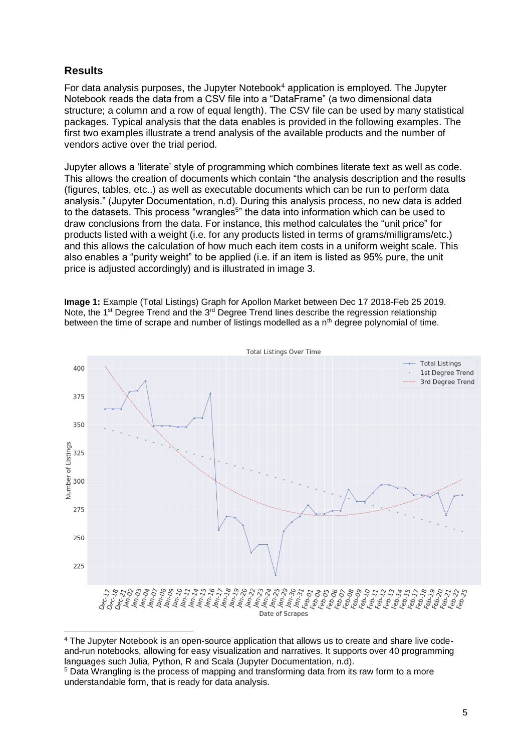# **Results**

For data analysis purposes, the Jupyter Notebook<sup>4</sup> application is employed. The Jupyter Notebook reads the data from a CSV file into a "DataFrame" (a two dimensional data structure; a column and a row of equal length). The CSV file can be used by many statistical packages. Typical analysis that the data enables is provided in the following examples. The first two examples illustrate a trend analysis of the available products and the number of vendors active over the trial period.

Jupyter allows a 'literate' style of programming which combines literate text as well as code. This allows the creation of documents which contain "the analysis description and the results (figures, tables, etc..) as well as executable documents which can be run to perform data analysis." (Jupyter Documentation, n.d). During this analysis process, no new data is added to the datasets. This process "wrangles<sup>5</sup>" the data into information which can be used to draw conclusions from the data. For instance, this method calculates the "unit price" for products listed with a weight (i.e. for any products listed in terms of grams/milligrams/etc.) and this allows the calculation of how much each item costs in a uniform weight scale. This also enables a "purity weight" to be applied (i.e. if an item is listed as 95% pure, the unit price is adjusted accordingly) and is illustrated in image 3.

**Image 1:** Example (Total Listings) Graph for Apollon Market between Dec 17 2018-Feb 25 2019. Note, the 1<sup>st</sup> Degree Trend and the 3<sup>rd</sup> Degree Trend lines describe the regression relationship between the time of scrape and number of listings modelled as a  $n<sup>th</sup>$  degree polynomial of time.



<sup>4</sup> The Jupyter Notebook is an open-source application that allows us to create and share live codeand-run notebooks, allowing for easy visualization and narratives. It supports over 40 programming languages such Julia, Python, R and Scala (Jupyter Documentation, n.d).

<sup>&</sup>lt;sup>5</sup> Data Wrangling is the process of mapping and transforming data from its raw form to a more understandable form, that is ready for data analysis.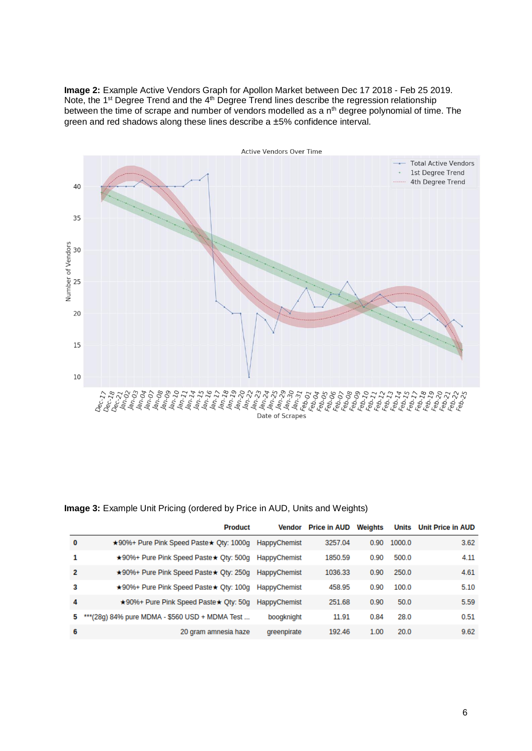**Image 2:** Example Active Vendors Graph for Apollon Market between Dec 17 2018 - Feb 25 2019. Note, the 1<sup>st</sup> Degree Trend and the 4<sup>th</sup> Degree Trend lines describe the regression relationship between the time of scrape and number of vendors modelled as a n<sup>th</sup> degree polynomial of time. The green and red shadows along these lines describe a ±5% confidence interval.



#### **Image 3:** Example Unit Pricing (ordered by Price in AUD, Units and Weights)

|   | <b>Product</b>                                 |                     | <b>Vendor</b> Price in AUD | Weights | <b>Units</b> | <b>Unit Price in AUD</b> |
|---|------------------------------------------------|---------------------|----------------------------|---------|--------------|--------------------------|
| 0 | ★90%+ Pure Pink Speed Paste★ Oty: 1000g        | HappyChemist        | 3257.04                    | 0.90    | 1000.0       | 3.62                     |
| 1 | ★90%+ Pure Pink Speed Paste★ Qty: 500g         | HappyChemist        | 1850.59                    | 0.90    | 500.0        | 4.11                     |
| 2 | ★90%+ Pure Pink Speed Paste★ Oty: 250g         | <b>HappyChemist</b> | 1036.33                    | 0.90    | 250.0        | 4.61                     |
| З | ★90%+ Pure Pink Speed Paste★ Qty: 100g         | HappyChemist        | 458.95                     | 0.90    | 100.0        | 5.10                     |
| 4 | ★90%+ Pure Pink Speed Paste★ Oty: 50g          | HappyChemist        | 251.68                     | 0.90    | 50.0         | 5.59                     |
| 5 | ***(28q) 84% pure MDMA - \$560 USD + MDMA Test | boogknight          | 11.91                      | 0.84    | 28.0         | 0.51                     |
| 6 | 20 gram amnesia haze                           | greenpirate         | 192.46                     | 1.00    | 20.0         | 9.62                     |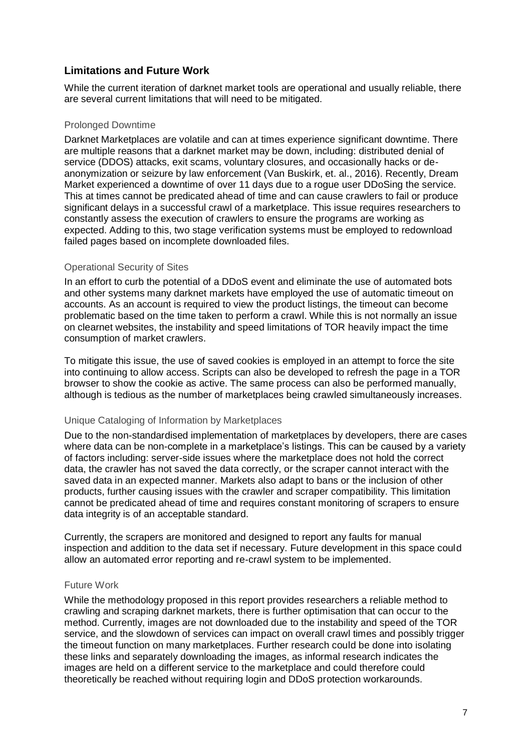# **Limitations and Future Work**

While the current iteration of darknet market tools are operational and usually reliable, there are several current limitations that will need to be mitigated.

#### Prolonged Downtime

Darknet Marketplaces are volatile and can at times experience significant downtime. There are multiple reasons that a darknet market may be down, including: distributed denial of service (DDOS) attacks, exit scams, voluntary closures, and occasionally hacks or deanonymization or seizure by law enforcement (Van Buskirk, et. al., 2016). Recently, Dream Market experienced a downtime of over 11 days due to a rogue user DDoSing the service. This at times cannot be predicated ahead of time and can cause crawlers to fail or produce significant delays in a successful crawl of a marketplace. This issue requires researchers to constantly assess the execution of crawlers to ensure the programs are working as expected. Adding to this, two stage verification systems must be employed to redownload failed pages based on incomplete downloaded files.

#### Operational Security of Sites

In an effort to curb the potential of a DDoS event and eliminate the use of automated bots and other systems many darknet markets have employed the use of automatic timeout on accounts. As an account is required to view the product listings, the timeout can become problematic based on the time taken to perform a crawl. While this is not normally an issue on clearnet websites, the instability and speed limitations of TOR heavily impact the time consumption of market crawlers.

To mitigate this issue, the use of saved cookies is employed in an attempt to force the site into continuing to allow access. Scripts can also be developed to refresh the page in a TOR browser to show the cookie as active. The same process can also be performed manually, although is tedious as the number of marketplaces being crawled simultaneously increases.

# Unique Cataloging of Information by Marketplaces

Due to the non-standardised implementation of marketplaces by developers, there are cases where data can be non-complete in a marketplace's listings. This can be caused by a variety of factors including: server-side issues where the marketplace does not hold the correct data, the crawler has not saved the data correctly, or the scraper cannot interact with the saved data in an expected manner. Markets also adapt to bans or the inclusion of other products, further causing issues with the crawler and scraper compatibility. This limitation cannot be predicated ahead of time and requires constant monitoring of scrapers to ensure data integrity is of an acceptable standard.

Currently, the scrapers are monitored and designed to report any faults for manual inspection and addition to the data set if necessary. Future development in this space could allow an automated error reporting and re-crawl system to be implemented.

# Future Work

While the methodology proposed in this report provides researchers a reliable method to crawling and scraping darknet markets, there is further optimisation that can occur to the method. Currently, images are not downloaded due to the instability and speed of the TOR service, and the slowdown of services can impact on overall crawl times and possibly trigger the timeout function on many marketplaces. Further research could be done into isolating these links and separately downloading the images, as informal research indicates the images are held on a different service to the marketplace and could therefore could theoretically be reached without requiring login and DDoS protection workarounds.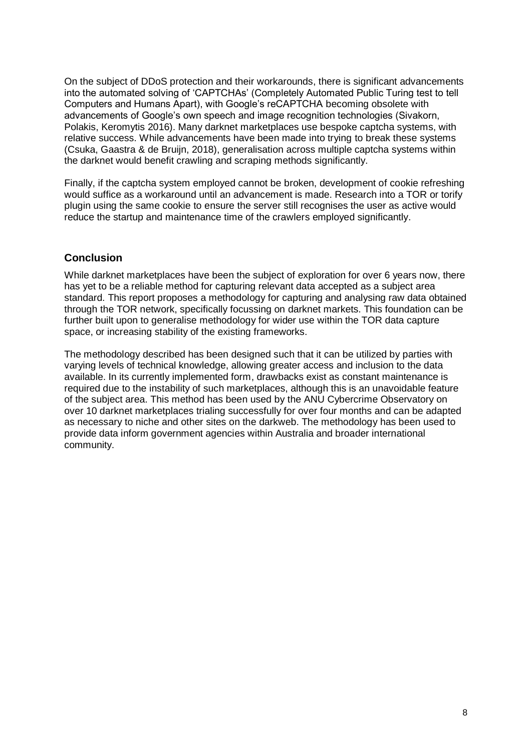On the subject of DDoS protection and their workarounds, there is significant advancements into the automated solving of 'CAPTCHAs' (Completely Automated Public Turing test to tell Computers and Humans Apart), with Google's reCAPTCHA becoming obsolete with advancements of Google's own speech and image recognition technologies (Sivakorn, Polakis, Keromytis 2016). Many darknet marketplaces use bespoke captcha systems, with relative success. While advancements have been made into trying to break these systems (Csuka, Gaastra & de Bruijn, 2018), generalisation across multiple captcha systems within the darknet would benefit crawling and scraping methods significantly.

Finally, if the captcha system employed cannot be broken, development of cookie refreshing would suffice as a workaround until an advancement is made. Research into a TOR or torify plugin using the same cookie to ensure the server still recognises the user as active would reduce the startup and maintenance time of the crawlers employed significantly.

# **Conclusion**

While darknet marketplaces have been the subject of exploration for over 6 years now, there has yet to be a reliable method for capturing relevant data accepted as a subject area standard. This report proposes a methodology for capturing and analysing raw data obtained through the TOR network, specifically focussing on darknet markets. This foundation can be further built upon to generalise methodology for wider use within the TOR data capture space, or increasing stability of the existing frameworks.

The methodology described has been designed such that it can be utilized by parties with varying levels of technical knowledge, allowing greater access and inclusion to the data available. In its currently implemented form, drawbacks exist as constant maintenance is required due to the instability of such marketplaces, although this is an unavoidable feature of the subject area. This method has been used by the ANU Cybercrime Observatory on over 10 darknet marketplaces trialing successfully for over four months and can be adapted as necessary to niche and other sites on the darkweb. The methodology has been used to provide data inform government agencies within Australia and broader international community.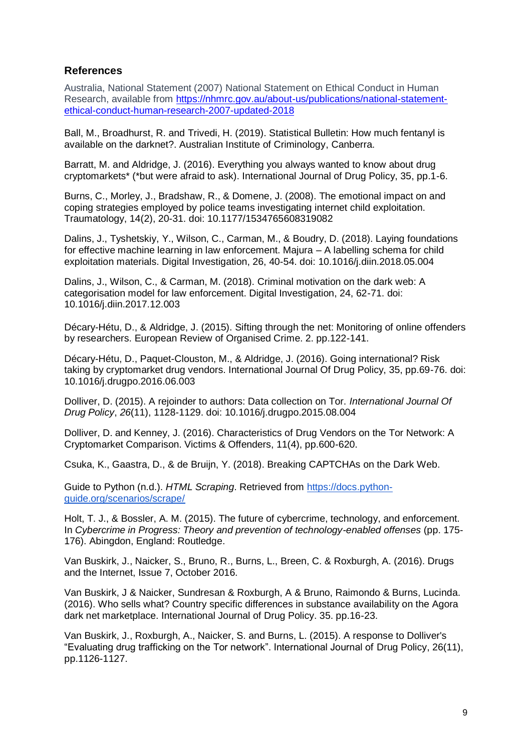# **References**

Australia, National Statement (2007) National Statement on Ethical Conduct in Human Research, available from [https://nhmrc.gov.au/about-us/publications/national-statement](https://nhmrc.gov.au/about-us/publications/national-statement-ethical-conduct-human-research-2007-updated-2018)[ethical-conduct-human-research-2007-updated-2018](https://nhmrc.gov.au/about-us/publications/national-statement-ethical-conduct-human-research-2007-updated-2018)

Ball, M., Broadhurst, R. and Trivedi, H. (2019). Statistical Bulletin: How much fentanyl is available on the darknet?. Australian Institute of Criminology, Canberra.

Barratt, M. and Aldridge, J. (2016). Everything you always wanted to know about drug cryptomarkets\* (\*but were afraid to ask). International Journal of Drug Policy, 35, pp.1-6.

Burns, C., Morley, J., Bradshaw, R., & Domene, J. (2008). The emotional impact on and coping strategies employed by police teams investigating internet child exploitation. Traumatology, 14(2), 20-31. doi: 10.1177/1534765608319082

Dalins, J., Tyshetskiy, Y., Wilson, C., Carman, M., & Boudry, D. (2018). Laying foundations for effective machine learning in law enforcement. Majura – A labelling schema for child exploitation materials. Digital Investigation, 26, 40-54. doi: 10.1016/j.diin.2018.05.004

Dalins, J., Wilson, C., & Carman, M. (2018). Criminal motivation on the dark web: A categorisation model for law enforcement. Digital Investigation, 24, 62-71. doi: 10.1016/j.diin.2017.12.003

Décary-Hétu, D., & Aldridge, J. (2015). Sifting through the net: Monitoring of online offenders by researchers. European Review of Organised Crime. 2. pp.122-141.

Décary-Hétu, D., Paquet-Clouston, M., & Aldridge, J. (2016). Going international? Risk taking by cryptomarket drug vendors. International Journal Of Drug Policy, 35, pp.69-76. doi: 10.1016/j.drugpo.2016.06.003

Dolliver, D. (2015). A rejoinder to authors: Data collection on Tor. *International Journal Of Drug Policy*, *26*(11), 1128-1129. doi: 10.1016/j.drugpo.2015.08.004

Dolliver, D. and Kenney, J. (2016). Characteristics of Drug Vendors on the Tor Network: A Cryptomarket Comparison. Victims & Offenders, 11(4), pp.600-620.

Csuka, K., Gaastra, D., & de Bruijn, Y. (2018). Breaking CAPTCHAs on the Dark Web.

Guide to Python (n.d.). *HTML Scraping*. Retrieved from [https://docs.python](https://docs.python-guide.org/scenarios/scrape/)[guide.org/scenarios/scrape/](https://docs.python-guide.org/scenarios/scrape/)

Holt, T. J., & Bossler, A. M. (2015). The future of cybercrime, technology, and enforcement. In *Cybercrime in Progress: Theory and prevention of technology-enabled offenses* (pp. 175- 176). Abingdon, England: Routledge.

Van Buskirk, J., Naicker, S., Bruno, R., Burns, L., Breen, C. & Roxburgh, A. (2016). Drugs and the Internet, Issue 7, October 2016.

Van Buskirk, J & Naicker, Sundresan & Roxburgh, A & Bruno, Raimondo & Burns, Lucinda. (2016). Who sells what? Country specific differences in substance availability on the Agora dark net marketplace. International Journal of Drug Policy. 35. pp.16-23.

Van Buskirk, J., Roxburgh, A., Naicker, S. and Burns, L. (2015). A response to Dolliver's "Evaluating drug trafficking on the Tor network". International Journal of Drug Policy, 26(11), pp.1126-1127.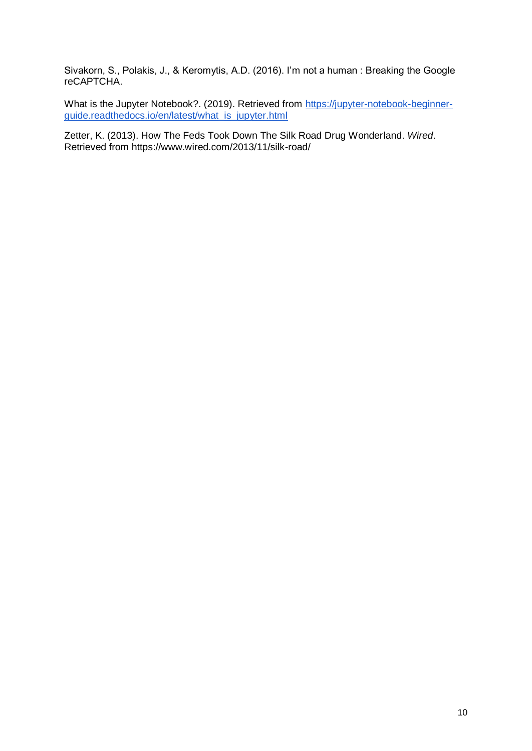Sivakorn, S., Polakis, J., & Keromytis, A.D. (2016). I'm not a human : Breaking the Google reCAPTCHA.

What is the Jupyter Notebook?. (2019). Retrieved from [https://jupyter-notebook-beginner](https://jupyter-notebook-beginner-guide.readthedocs.io/en/latest/what_is_jupyter.html)[guide.readthedocs.io/en/latest/what\\_is\\_jupyter.html](https://jupyter-notebook-beginner-guide.readthedocs.io/en/latest/what_is_jupyter.html)

Zetter, K. (2013). How The Feds Took Down The Silk Road Drug Wonderland. *Wired*. Retrieved from https://www.wired.com/2013/11/silk-road/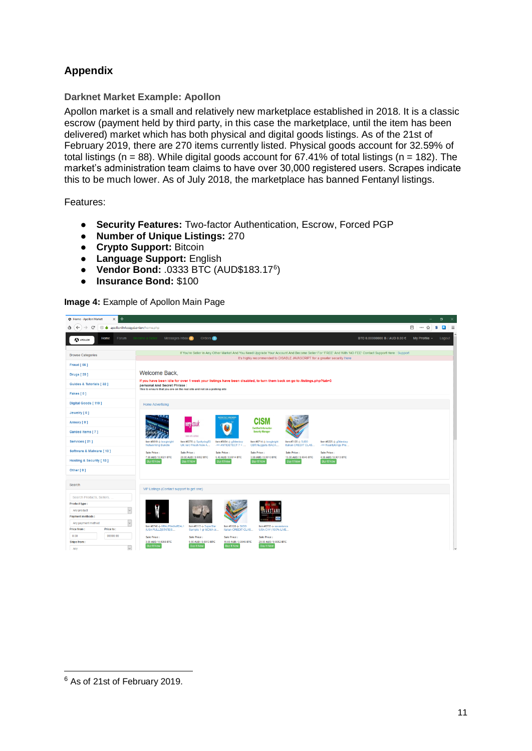# **Appendix**

# **Darknet Market Example: Apollon**

Apollon market is a small and relatively new marketplace established in 2018. It is a classic escrow (payment held by third party, in this case the marketplace, until the item has been delivered) market which has both physical and digital goods listings. As of the 21st of February 2019, there are 270 items currently listed. Physical goods account for 32.59% of total listings ( $n = 88$ ). While digital goods account for  $67.41\%$  of total listings ( $n = 182$ ). The market's administration team claims to have over 30,000 registered users. Scrapes indicate this to be much lower. As of July 2018, the marketplace has banned Fentanyl listings.

Features:

- **Security Features:** Two-factor Authentication, Escrow, Forced PGP
- **Number of Unique Listings:** 270
- **Crypto Support:** Bitcoin
- **Language Support:** English
- **Vendor Bond:** .0333 BTC (AUD\$183.17<sup>6</sup> )
- **Insurance Bond:** \$100

#### **Image 4:** Example of Apollon Main Page



 $\overline{a}$ 

<sup>6</sup> As of 21st of February 2019.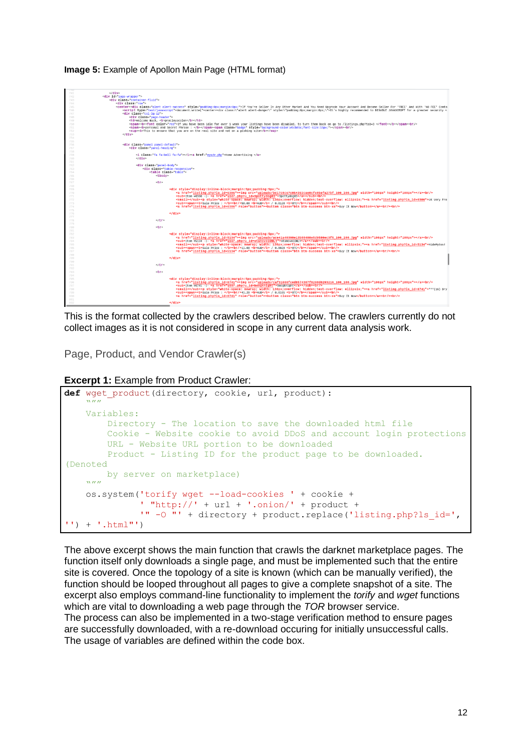

## **Image 5:** Example of Apollon Main Page (HTML format)

This is the format collected by the crawlers described below. The crawlers currently do not collect images as it is not considered in scope in any current data analysis work.

Page, Product, and Vendor Crawler(s)

**Excerpt 1:** Example from Product Crawler:

```
def wget_product(directory, cookie, url, product):
    "''" Variables:
         Directory - The location to save the downloaded html file
         Cookie - Website cookie to avoid DDoS and account login protections
         URL - Website URL portion to be downloaded
         Product - Listing ID for the product page to be downloaded. 
(Denoted 
        by server on marketplace) 
    "''''"''" os.system('torify wget --load-cookies ' + cookie +
               ' "http://' + url + '.onion/' + product +
               '" -O ^{\prime\prime\prime} + directory + product.replace('listing.php?ls id=',
' ) + '.html"')
```
The above excerpt shows the main function that crawls the darknet marketplace pages. The function itself only downloads a single page, and must be implemented such that the entire site is covered. Once the topology of a site is known (which can be manually verified), the function should be looped throughout all pages to give a complete snapshot of a site. The excerpt also employs command-line functionality to implement the *torify* and *wget* functions which are vital to downloading a web page through the *TOR* browser service. The process can also be implemented in a two-stage verification method to ensure pages are successfully downloaded, with a re-download occuring for initially unsuccessful calls. The usage of variables are defined within the code box.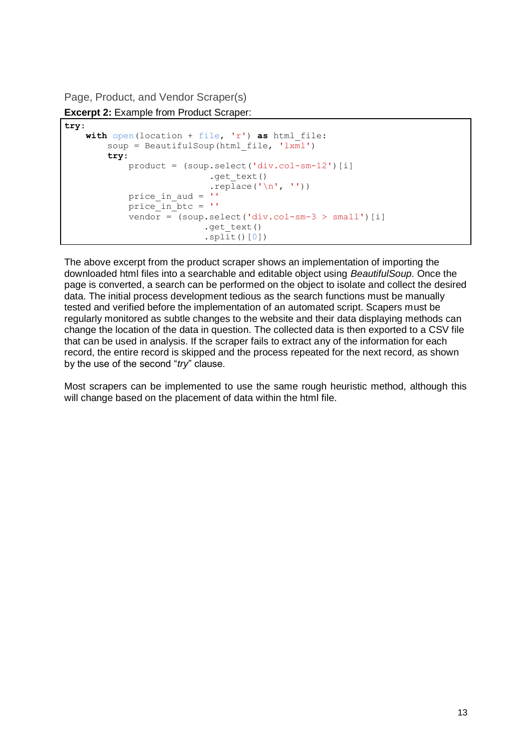Page, Product, and Vendor Scraper(s)

**Excerpt 2:** Example from Product Scraper:

```
try:
    with open(location + file, 'r') as html_file:
        soup = BeautifulSoup(html file, 'lxml')
         try:
            product = (soup.select('div.col-sm-12')[i]
                           .get text()
                           .replace('\n', ''))
            price in aud = ''
            price in btc = 'vendor = (soup.select('div.col-sm-3 > small')[i]
                          .get text()
                          .split()[0])
```
The above excerpt from the product scraper shows an implementation of importing the downloaded html files into a searchable and editable object using *BeautifulSoup*. Once the page is converted, a search can be performed on the object to isolate and collect the desired data. The initial process development tedious as the search functions must be manually tested and verified before the implementation of an automated script. Scapers must be regularly monitored as subtle changes to the website and their data displaying methods can change the location of the data in question. The collected data is then exported to a CSV file that can be used in analysis. If the scraper fails to extract any of the information for each record, the entire record is skipped and the process repeated for the next record, as shown by the use of the second "*try*" clause.

Most scrapers can be implemented to use the same rough heuristic method, although this will change based on the placement of data within the html file.